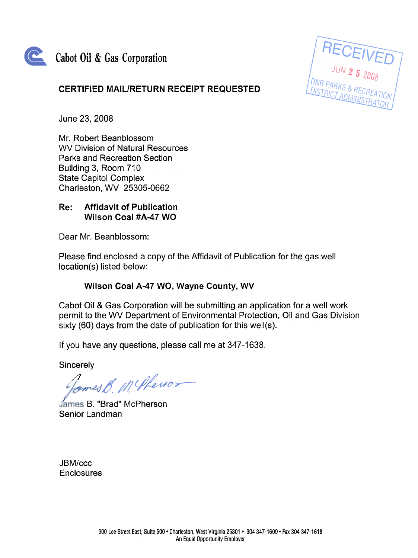

# Cabot Oil & Gas Corporation

# CERTIFIED MAIL/RETURN RECEIPT REQUESTED

**RECEIVED** 

June 23, 2008

Mr. Robert Beanblossom wv Division of Natural Resources Parks and Recreation Section Building 3, Room 710 State Capitol Complex Charleston, wv 25305-0662

#### Affidavit of Publication Wilson Coal #A-47 WQ Re:

Dear Mr. Beanblossom:

Please find enclosed a copy of the Affidavit of Publication for the gas well location(s) listed below:

## Wilson Coal A-47 WQ, Wayne County, WV

Cabot Oil & Gas Corporation will be submitting an application for a well work permit to the WV Department of Environmental Protection, Oil and Gas Division sixty (60) days from the date of publication for this well(s).

If you have any questions, please call me at 347-1638,

Sincerely:

ames B. McPhenor

James B. "Brad" McPherson Senior Landman

JBM/ccc **Enclosures**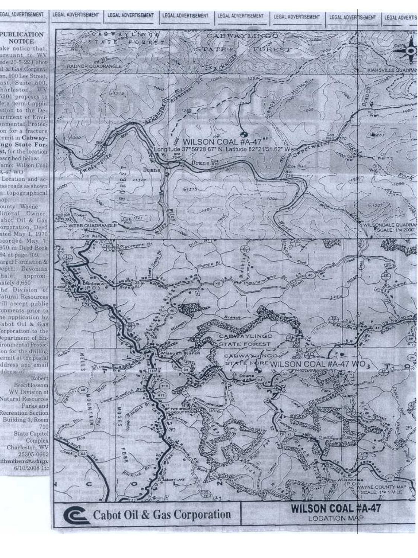